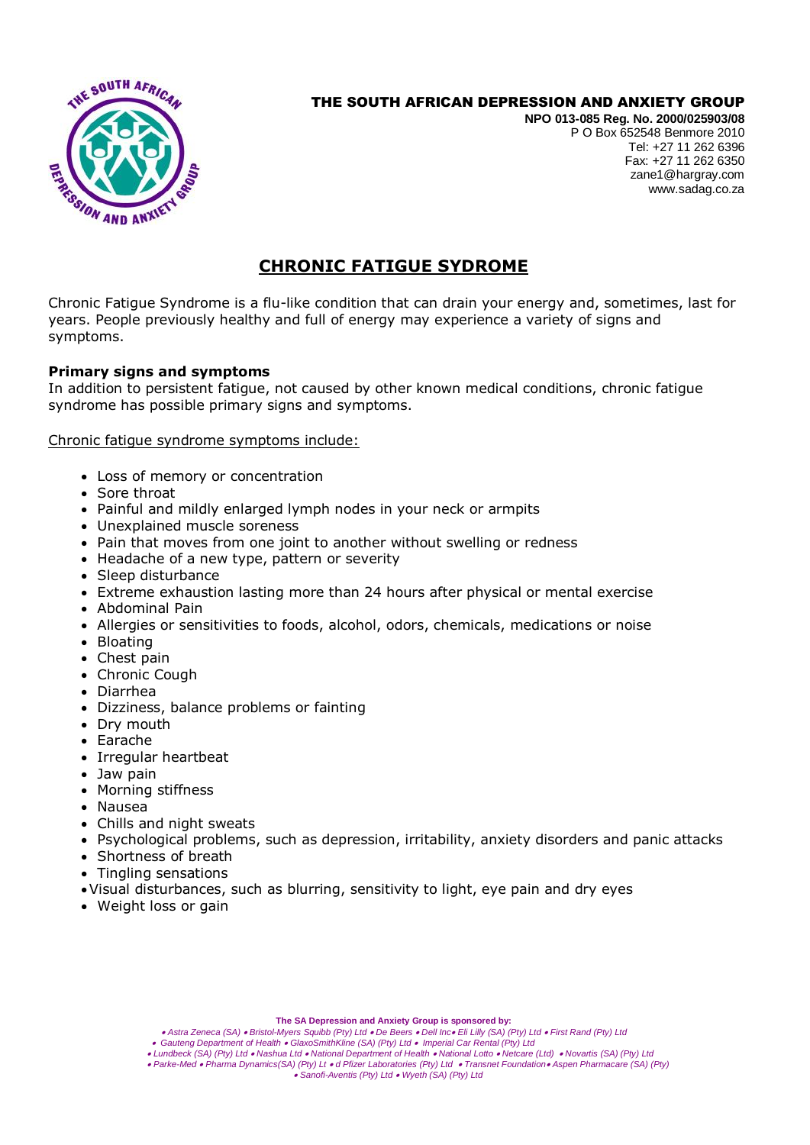

## THE SOUTH AFRICAN DEPRESSION AND ANXIETY GROUP

**NPO 013-085 Reg. No. 2000/025903/08** P O Box 652548 Benmore 2010 Tel: +27 11 262 6396 Fax: +27 11 262 6350 zane1@hargray.com [www.sadag.co.za](http://www.anxiety.org.za/)

# **CHRONIC FATIGUE SYDROME**

Chronic Fatigue Syndrome is a flu-like condition that can drain your energy and, sometimes, last for years. People previously healthy and full of energy may experience a variety of signs and symptoms.

### **Primary signs and symptoms**

In addition to persistent fatigue, not caused by other known medical conditions, chronic fatigue syndrome has possible primary signs and symptoms.

Chronic fatigue syndrome symptoms include:

- Loss of memory or concentration
- Sore throat
- Painful and mildly enlarged lymph nodes in your neck or armpits
- Unexplained muscle soreness
- Pain that moves from one joint to another without swelling or redness
- Headache of a new type, pattern or severity
- Sleep disturbance
- Extreme exhaustion lasting more than 24 hours after physical or mental exercise
- Abdominal Pain
- Allergies or sensitivities to foods, alcohol, odors, chemicals, medications or noise
- Bloating
- Chest pain
- Chronic Cough
- Diarrhea
- Dizziness, balance problems or fainting
- Drv mouth
- Earache
- Irregular heartbeat
- Jaw pain
- Morning stiffness
- Nausea
- Chills and night sweats
- Psychological problems, such as depression, irritability, anxiety disorders and panic attacks
- Shortness of breath
- Tingling sensations
- Visual disturbances, such as blurring, sensitivity to light, eye pain and dry eyes
- Weight loss or gain

**The SA Depression and Anxiety Group is sponsored by:**

- *Astra Zeneca (SA) Bristol-Myers Squibb (Pty) Ltd De Beers Dell Inc Eli Lilly (SA) (Pty) Ltd First Rand (Pty) Ltd*
- *Gauteng Department of Health GlaxoSmithKline (SA) (Pty) Ltd Imperial Car Rental (Pty) Ltd*
- *Lundbeck (SA) (Pty) Ltd Nashua Ltd National Department of Health National Lotto Netcare (Ltd) Novartis (SA) (Pty) Ltd Parke-Med Pharma Dynamics(SA) (Pty) Lt d Pfizer Laboratories (Pty) Ltd Transnet Foundation Aspen Pharmacare (SA) (Pty)*

*Sanofi-Aventis (Pty) Ltd Wyeth (SA) (Pty) Ltd*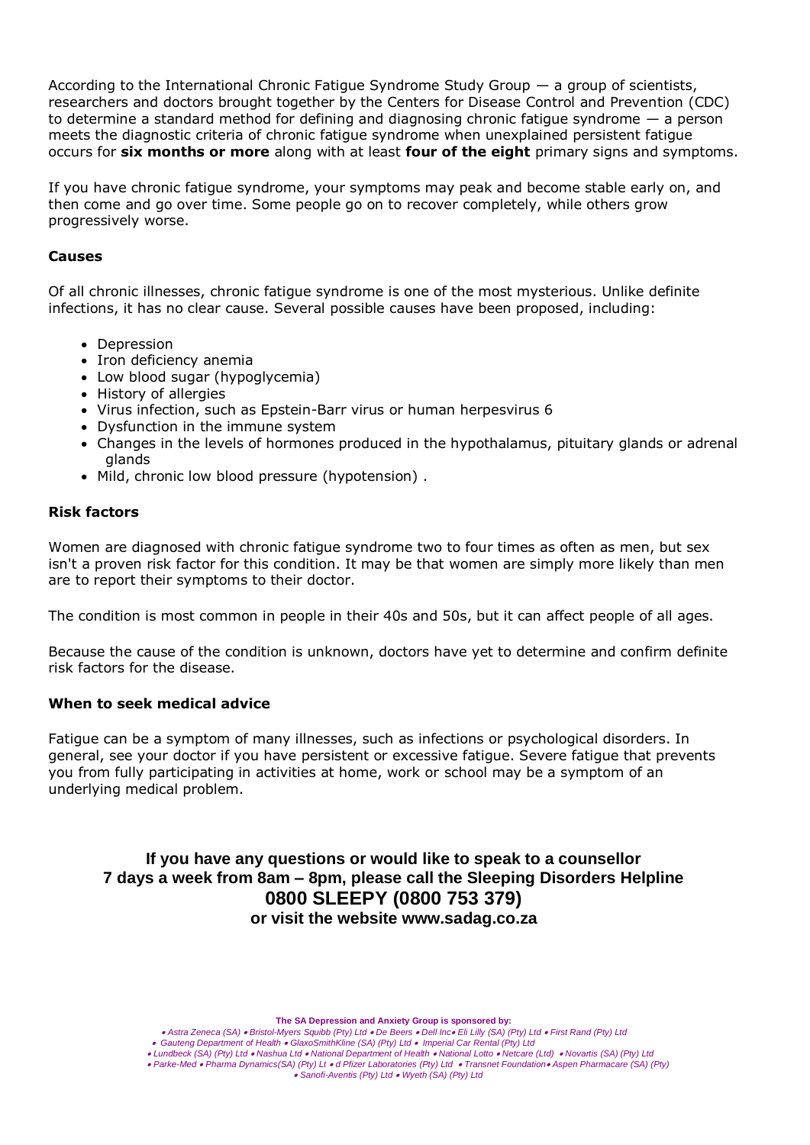According to the International Chronic Fatigue Syndrome Study Group — a group of scientists, researchers and doctors brought together by the Centers for Disease Control and Prevention (CDC) to determine a standard method for defining and diagnosing chronic fatigue syndrome — a person meets the diagnostic criteria of chronic fatigue syndrome when unexplained persistent fatigue occurs for **six months or more** along with at least **four of the eight** primary signs and symptoms.

If you have chronic fatigue syndrome, your symptoms may peak and become stable early on, and then come and go over time. Some people go on to recover completely, while others grow progressively worse.

#### **Causes**

Of all chronic illnesses, chronic fatigue syndrome is one of the most mysterious. Unlike definite infections, it has no clear cause. Several possible causes have been proposed, including:

- Depression
- Iron deficiency anemia
- Low blood sugar (hypoglycemia)
- History of allergies
- Virus infection, such as Epstein-Barr virus or human herpesvirus 6
- Dysfunction in the immune system
- Changes in the levels of hormones produced in the hypothalamus, pituitary glands or adrenal glands
- Mild, chronic low blood pressure (hypotension) .

#### **Risk factors**

Women are diagnosed with chronic fatigue syndrome two to four times as often as men, but sex isn't a proven risk factor for this condition. It may be that women are simply more likely than men are to report their symptoms to their doctor.

The condition is most common in people in their 40s and 50s, but it can affect people of all ages.

Because the cause of the condition is unknown, doctors have yet to determine and confirm definite risk factors for the disease.

#### **When to seek medical advice**

Fatigue can be a symptom of many illnesses, such as infections or psychological disorders. In general, see your doctor if you have persistent or excessive fatigue. Severe fatigue that prevents you from fully participating in activities at home, work or school may be a symptom of an underlying medical problem.

**If you have any questions or would like to speak to a counsellor 7 days a week from 8am – 8pm, please call the Sleeping Disorders Helpline 0800 SLEEPY (0800 753 379) or visit the website www.sadag.co.za**

**The SA Depression and Anxiety Group is sponsored by:**

 *Gauteng Department of Health GlaxoSmithKline (SA) (Pty) Ltd Imperial Car Rental (Pty) Ltd*

 *Lundbeck (SA) (Pty) Ltd Nashua Ltd National Department of Health National Lotto Netcare (Ltd) Novartis (SA) (Pty) Ltd*

 *Parke-Med Pharma Dynamics(SA) (Pty) Lt d Pfizer Laboratories (Pty) Ltd Transnet Foundation Aspen Pharmacare (SA) (Pty)* 

*Sanofi-Aventis (Pty) Ltd Wyeth (SA) (Pty) Ltd* 

*Astra Zeneca (SA) Bristol-Myers Squibb (Pty) Ltd De Beers Dell Inc Eli Lilly (SA) (Pty) Ltd First Rand (Pty) Ltd*